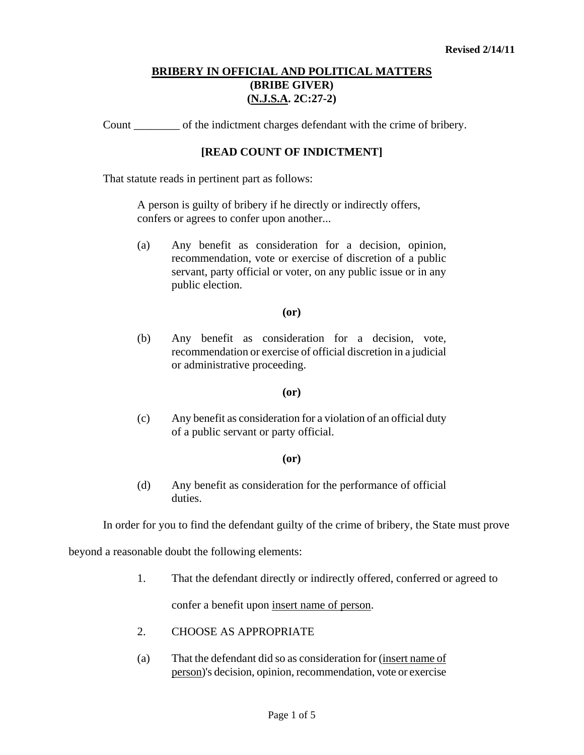## **BRIBERY IN OFFICIAL AND POLITICAL MATTERS (BRIBE GIVER) (N.J.S.A. 2C:27-2)**

Count \_\_\_\_\_\_\_\_ of the indictment charges defendant with the crime of bribery.

### **[READ COUNT OF INDICTMENT]**

That statute reads in pertinent part as follows:

A person is guilty of bribery if he directly or indirectly offers, confers or agrees to confer upon another...

(a) Any benefit as consideration for a decision, opinion, recommendation, vote or exercise of discretion of a public servant, party official or voter, on any public issue or in any public election.

#### **(or)**

(b) Any benefit as consideration for a decision, vote, recommendation or exercise of official discretion in a judicial or administrative proceeding.

#### **(or)**

(c) Any benefit as consideration for a violation of an official duty of a public servant or party official.

#### **(or)**

(d) Any benefit as consideration for the performance of official duties.

In order for you to find the defendant guilty of the crime of bribery, the State must prove

beyond a reasonable doubt the following elements:

1. That the defendant directly or indirectly offered, conferred or agreed to

confer a benefit upon insert name of person.

- 2. CHOOSE AS APPROPRIATE
- <span id="page-0-0"></span>(a) That the defendant did so as consideration for (insert name of person)'s decision, opinion, recommendation, vote or exercise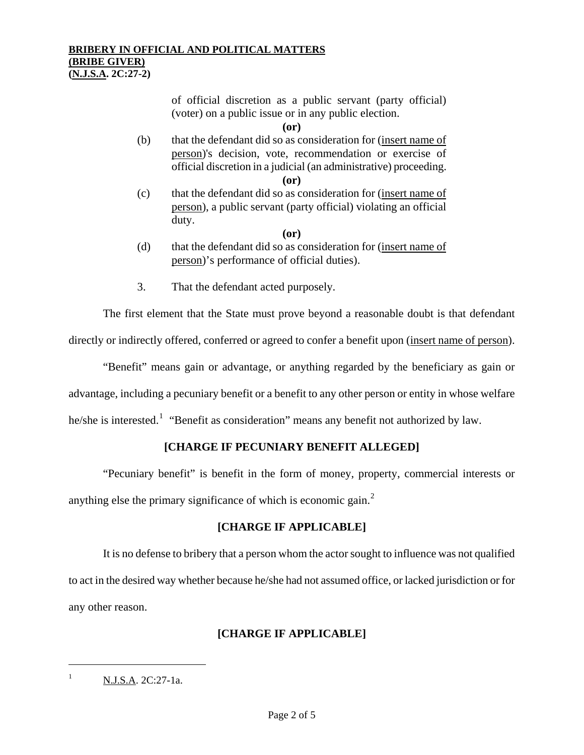of official discretion as a public servant (party official) (voter) on a public issue or in any public election.

**(or)** 

(b) that the defendant did so as consideration for (insert name of person)'s decision, vote, recommendation or exercise of official discretion in a judicial (an administrative) proceeding.

**(or)** 

(c) that the defendant did so as consideration for (insert name of person), a public servant (party official) violating an official duty.

**(or)** 

- (d) that the defendant did so as consideration for (insert name of person)'s performance of official duties).
- 3. That the defendant acted purposely.

The first element that the State must prove beyond a reasonable doubt is that defendant directly or indirectly offered, conferred or agreed to confer a benefit upon (insert name of person).

"Benefit" means gain or advantage, or anything regarded by the beneficiary as gain or

advantage, including a pecuniary benefit or a benefit to any other person or entity in whose welfare

he/she is interested.<sup>[1](#page-0-0)</sup> "Benefit as consideration" means any benefit not authorized by law.

### **[CHARGE IF PECUNIARY BENEFIT ALLEGED]**

"Pecuniary benefit" is benefit in the form of money, property, commercial interests or anything else the primary significance of which is economic gain. $2$ 

### **[CHARGE IF APPLICABLE]**

It is no defense to bribery that a person whom the actor sought to influence was not qualified to act in the desired way whether because he/she had not assumed office, or lacked jurisdiction or for any other reason.

# **[CHARGE IF APPLICABLE]**

<span id="page-1-0"></span>ł

<span id="page-1-1"></span> $N.J.S.A. 2C:27-1a.$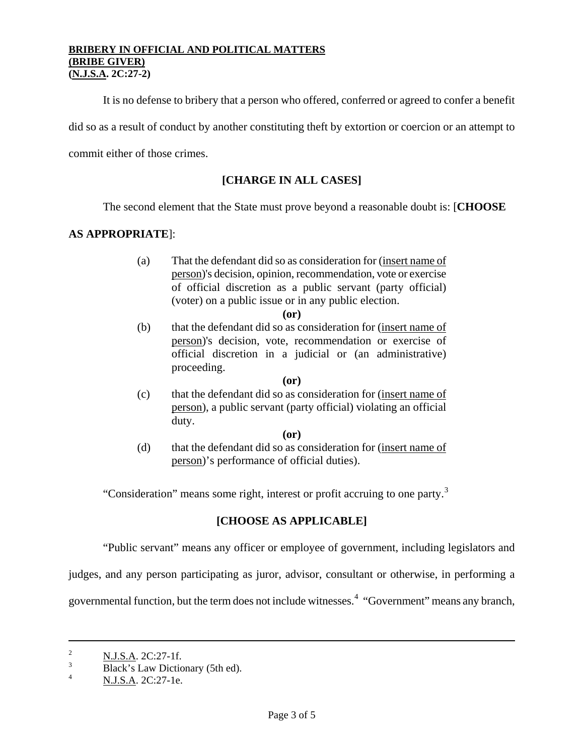#### **BRIBERY IN OFFICIAL AND POLITICAL MATTERS (BRIBE GIVER) (N.J.S.A. 2C:27-2)**

It is no defense to bribery that a person who offered, conferred or agreed to confer a benefit

did so as a result of conduct by another constituting theft by extortion or coercion or an attempt to

commit either of those crimes.

### **[CHARGE IN ALL CASES]**

The second element that the State must prove beyond a reasonable doubt is: [**CHOOSE** 

### **AS APPROPRIATE**]:

(a) That the defendant did so as consideration for (insert name of person)'s decision, opinion, recommendation, vote or exercise of official discretion as a public servant (party official) (voter) on a public issue or in any public election.

(b) that the defendant did so as consideration for (insert name of person)'s decision, vote, recommendation or exercise of official discretion in a judicial or (an administrative) proceeding.

#### **(or)**

(c) that the defendant did so as consideration for (insert name of person), a public servant (party official) violating an official duty.

 **(or)** 

(d) that the defendant did so as consideration for (insert name of person)'s performance of official duties).

"Consideration" means some right, interest or profit accruing to one party.<sup>[3](#page-1-1)</sup>

### **[CHOOSE AS APPLICABLE]**

"Public servant" means any officer or employee of government, including legislators and

judges, and any person participating as juror, advisor, consultant or otherwise, in performing a

governmental function, but the term does not include witnesses.<sup>[4](#page-2-0)</sup> "Government" means any branch,

ł

**<sup>(</sup>or)** 

<span id="page-2-1"></span><sup>&</sup>lt;sup>2</sup> N.J.S.A. 2C:27-1f.

<sup>3</sup>  $B$ lack's Law Dictionary (5th ed).

<span id="page-2-0"></span>N.J.S.A. 2C:27-1e.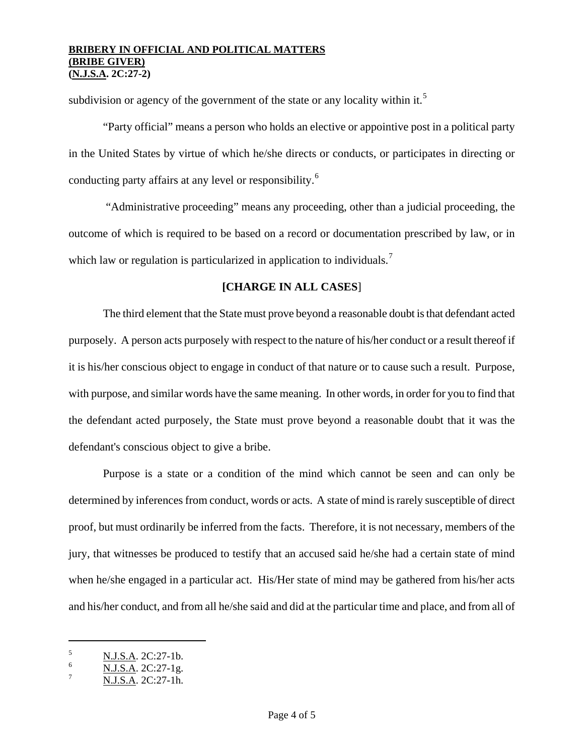### **BRIBERY IN OFFICIAL AND POLITICAL MATTERS (BRIBE GIVER) (N.J.S.A. 2C:27-2)**

subdivision or agency of the government of the state or any locality within it.<sup>[5](#page-2-1)</sup>

"Party official" means a person who holds an elective or appointive post in a political party in the United States by virtue of which he/she directs or conducts, or participates in directing or conducting party affairs at any level or responsibility.[6](#page-3-0)

 "Administrative proceeding" means any proceeding, other than a judicial proceeding, the outcome of which is required to be based on a record or documentation prescribed by law, or in which law or regulation is particularized in application to individuals.<sup>[7](#page-3-1)</sup>

# **[CHARGE IN ALL CASES**]

The third element that the State must prove beyond a reasonable doubt is that defendant acted purposely. A person acts purposely with respect to the nature of his/her conduct or a result thereof if it is his/her conscious object to engage in conduct of that nature or to cause such a result. Purpose, with purpose, and similar words have the same meaning. In other words, in order for you to find that the defendant acted purposely, the State must prove beyond a reasonable doubt that it was the defendant's conscious object to give a bribe.

Purpose is a state or a condition of the mind which cannot be seen and can only be determined by inferences from conduct, words or acts. A state of mind is rarely susceptible of direct proof, but must ordinarily be inferred from the facts. Therefore, it is not necessary, members of the jury, that witnesses be produced to testify that an accused said he/she had a certain state of mind when he/she engaged in a particular act. His/Her state of mind may be gathered from his/her acts and his/her conduct, and from all he/she said and did at the particular time and place, and from all of

ł

<span id="page-3-2"></span> $\frac{5}{6}$  N.J.S.A. 2C:27-1b.

<span id="page-3-0"></span> $\frac{6}{7}$  N.J.S.A. 2C:27-1g.

<span id="page-3-1"></span>N.J.S.A. 2C:27-1h.